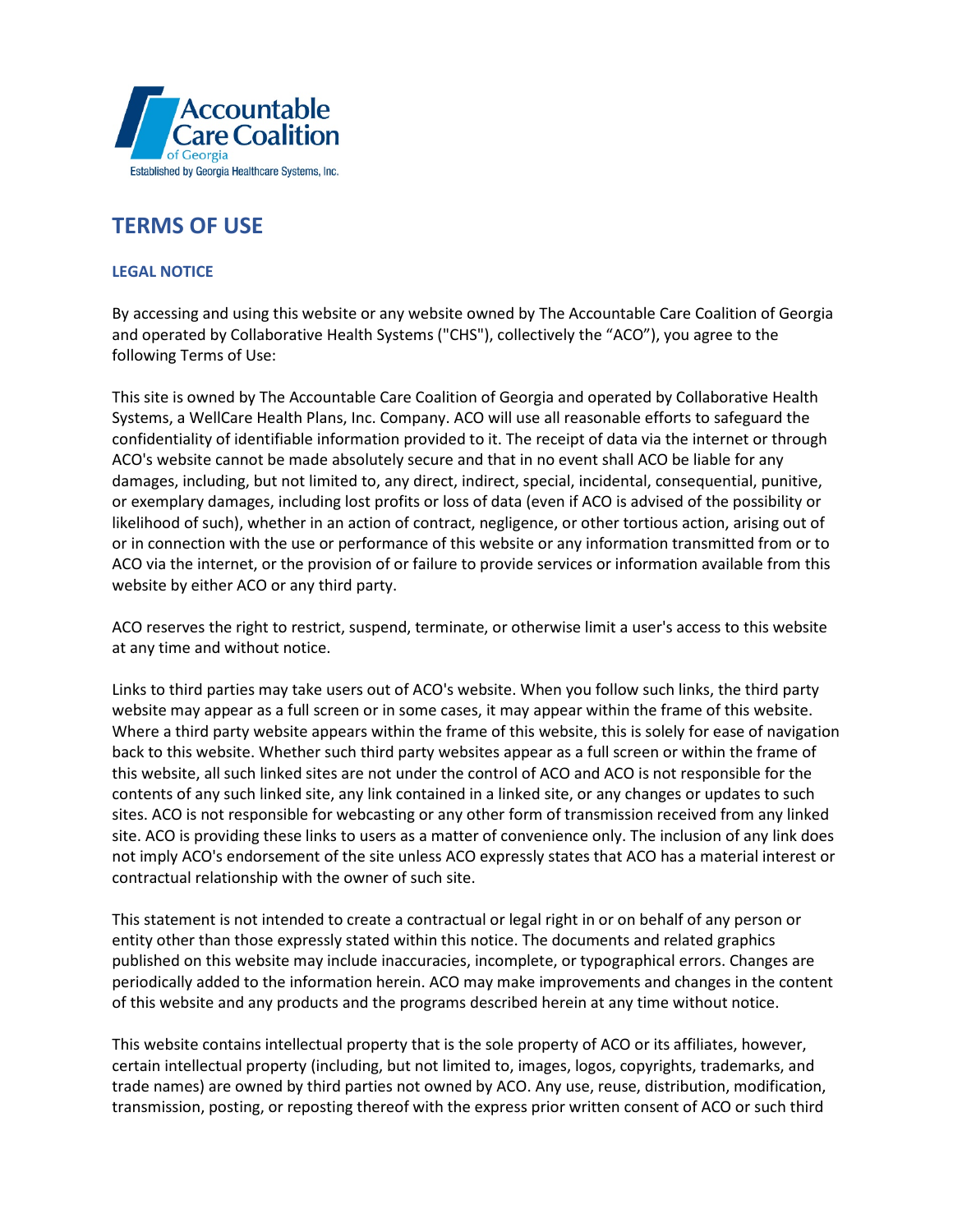

## **TERMS OF USE**

## **LEGAL NOTICE**

By accessing and using this website or any website owned by The Accountable Care Coalition of Georgia and operated by Collaborative Health Systems ("CHS"), collectively the "ACO"), you agree to the following Terms of Use:

This site is owned by The Accountable Care Coalition of Georgia and operated by Collaborative Health Systems, a WellCare Health Plans, Inc. Company. ACO will use all reasonable efforts to safeguard the confidentiality of identifiable information provided to it. The receipt of data via the internet or through ACO's website cannot be made absolutely secure and that in no event shall ACO be liable for any damages, including, but not limited to, any direct, indirect, special, incidental, consequential, punitive, or exemplary damages, including lost profits or loss of data (even if ACO is advised of the possibility or likelihood of such), whether in an action of contract, negligence, or other tortious action, arising out of or in connection with the use or performance of this website or any information transmitted from or to ACO via the internet, or the provision of or failure to provide services or information available from this website by either ACO or any third party.

ACO reserves the right to restrict, suspend, terminate, or otherwise limit a user's access to this website at any time and without notice.

Links to third parties may take users out of ACO's website. When you follow such links, the third party website may appear as a full screen or in some cases, it may appear within the frame of this website. Where a third party website appears within the frame of this website, this is solely for ease of navigation back to this website. Whether such third party websites appear as a full screen or within the frame of this website, all such linked sites are not under the control of ACO and ACO is not responsible for the contents of any such linked site, any link contained in a linked site, or any changes or updates to such sites. ACO is not responsible for webcasting or any other form of transmission received from any linked site. ACO is providing these links to users as a matter of convenience only. The inclusion of any link does not imply ACO's endorsement of the site unless ACO expressly states that ACO has a material interest or contractual relationship with the owner of such site.

This statement is not intended to create a contractual or legal right in or on behalf of any person or entity other than those expressly stated within this notice. The documents and related graphics published on this website may include inaccuracies, incomplete, or typographical errors. Changes are periodically added to the information herein. ACO may make improvements and changes in the content of this website and any products and the programs described herein at any time without notice.

This website contains intellectual property that is the sole property of ACO or its affiliates, however, certain intellectual property (including, but not limited to, images, logos, copyrights, trademarks, and trade names) are owned by third parties not owned by ACO. Any use, reuse, distribution, modification, transmission, posting, or reposting thereof with the express prior written consent of ACO or such third